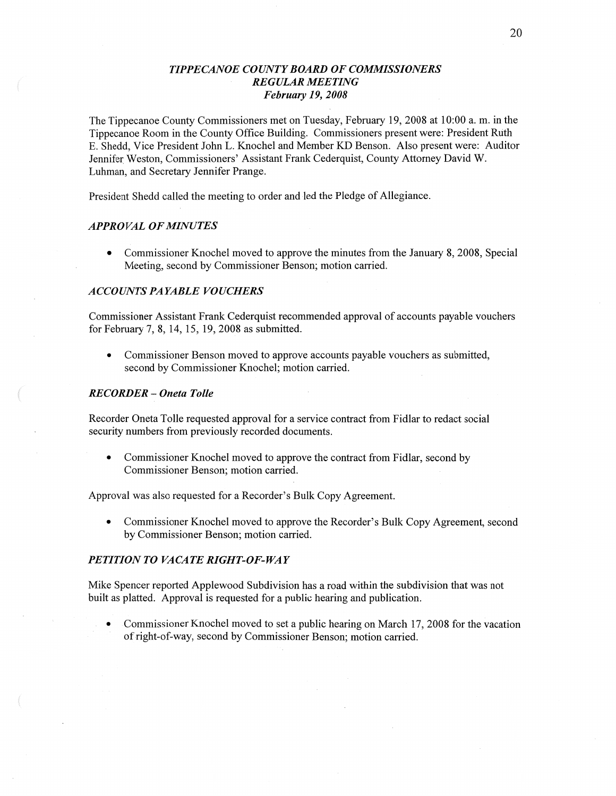# *TIPPE CANOE* C0 *UNTY BOARD* OF *COMMISSIONERS REGULAR MEETING February* 19, *2008*

The Tippecanoe County Commissioners met on Tuesday, February 19, 2008 at 10:00 a. m. in the Tippecanoe Room in the County Office Building. Commissioners present were: President Ruth B. Shedd, **Vice** President John L. Knochel and Member KD Benson. **Also** present were: Auditor Jennifer Weston, Commissioners' Assistant Frank Cederquist, County Attorney David W. Luhman, and Secretary Jennifer Prange.

President Shedd called the meeting to order and led the Pledge of Allegiance.

#### *APPRO* VAL OF *MINUTES*

**0** Commissioner Knochel moved to approve the minutes from the January 8, 2008, Special Meeting, second by Commissioner Benson; motion carried.

## **ACCOUNTS PAYABLE VOUCHERS**

Commissioner Assistant Frank Cederquist recommended approval of accounts payable vouchers for February 7, 8, 14, 15, 19, 2008 as submitted.

**0** Commissioner Benson moved to approve accounts payable vouchers as submitted, second by Commissioner Knochel; motion carried.

#### *RECORDER f Oneta Tolle*

Recorder Oneta Tolle requested approval for a service contract from Fidlar to redact social security numbers from previously recorded documents.

**0** Commissioner Knochel moved to approve the contract from Fidlar, second by Commissioner Benson; motion carried.

Approval was also requested for a Recorder's Bulk Copy Agreement.

• Commissioner Knochel moved to approve the Recorder's Bulk Copy Agreement, second by Commissioner Benson; motion carried.

## *PETITION* TO *VACATE RIGHT-OF-WAY*

Mike Spencer reported Applewood Subdivision has a road within the subdivision that was not built as platted. Approval is requested for a public hearing and publication.

Commissioner Knochel moved to set a public hearing on March 17, 2008 for the vacation of right-of-way, second by Commissioner Benson; motion carried.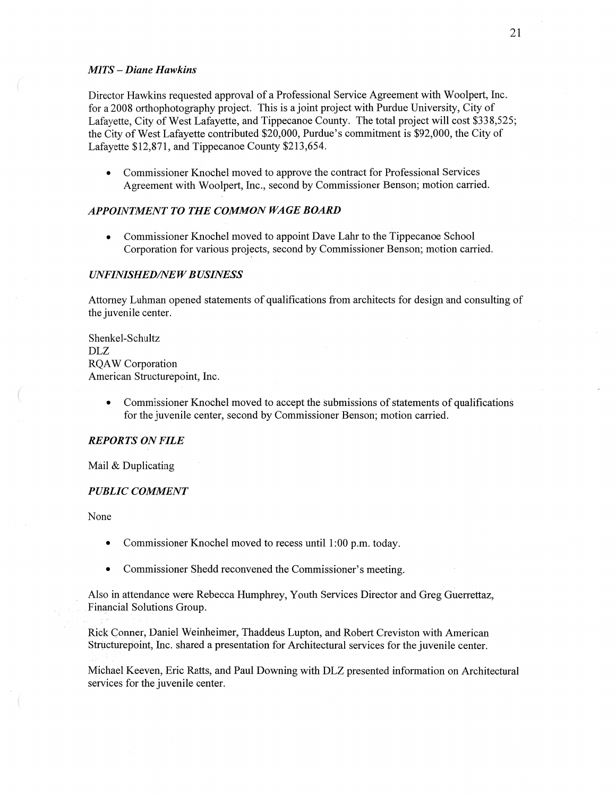## MI TS **—** *Diane Hawkins*

Director Hawkins requested approval of a Professional Service Agreement with Woolpert, Inc. for **a** 2008 orthophotography project. This is a joint project with Purdue University, City of Lafayette, City of West Lafayette, and Tippecanoe County. The total project will cost \$338,525; the City of West Lafayette contributed \$20,000, Purdue's commitment is \$92,000, the City of Lafayette \$12,871, and Tippecanoe County \$213,654.

**0** Commissioner Knochel moved to approve the contract for Professional Services Agreement with Woolpert, Inc., second by Commissioner Benson; motion carried.

# **APPOINTMENT TO THE COMMON WAGE BOARD**

**0** Commissioner Knochel moved to appoint Dave Lahr to the Tippecanoe School Corporation for various projects, second by Commissioner Benson; motion carried.

#### *UNFINISHED/NE W B USINESS*

Attorney Luhman opened statements of qualifications from architects for design 'and consulting of the juvenile center.

Shenkel-Schultz DLZ RQAW Corporation American Structurepoint, Inc.

> **0** Commissioner Knochel moved to accept the Submissions of statements of qualifications for the juvenile center, second by Commissioner Benson; motion carried.

#### *REPORTS* 0N *FILE*

Mail & Duplicating

### *PUBLIC COMMENT*

None

- **0** Commissioner Knochel moved to recess until **1:00** pm. today.
- Commissioner Shedd reconvened the Commissioner's meeting.

Also in attendance were Rebecca Humphrey, Youth Services Director and Greg Guerrettaz, Financial Solutions Group.

RickCOnner, Daniel Weinheimer, Thaddeus Lupton, and Robert Creviston with American Structure point, Inc. shared a presentation for Architectural services for the juvenile center.

Michael Keeven, Eric Ratts, and Paul Downing with DLZ presented information on Architectural services for the juvenile center.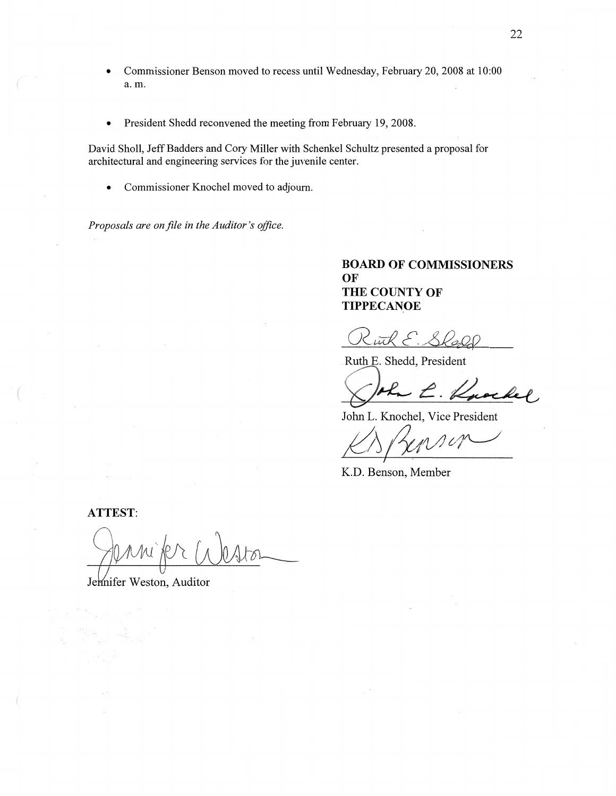- **0** Commissioner **Benson** moved to recess until Wednesday, February 20, 2008 at 10:00 a. m.
- **0** President Shedd reconvened the meeting **from** February 19, 2008.

David Sholl, Jeff Badders and Cory Miller with'Schenkel Schultz presented a proposal for architectural and engineering services for the juvenile center.

**0** Commissioner Knochel moved to adjourn.

*Proposals* are *onfile* in the *Auditor* 's *oflice.* 

# **BOARD** OF **COMMISSIONERS**  OF THE **COUNTY** OF **TIPPECANOE**

Kuth E. Shall

Ruth E. Shedd, President

John L. Knochel, Vice President

KARensin

**K.D. Benson,** Member

**ATTEST:** 

Jermifer Weston, Auditor